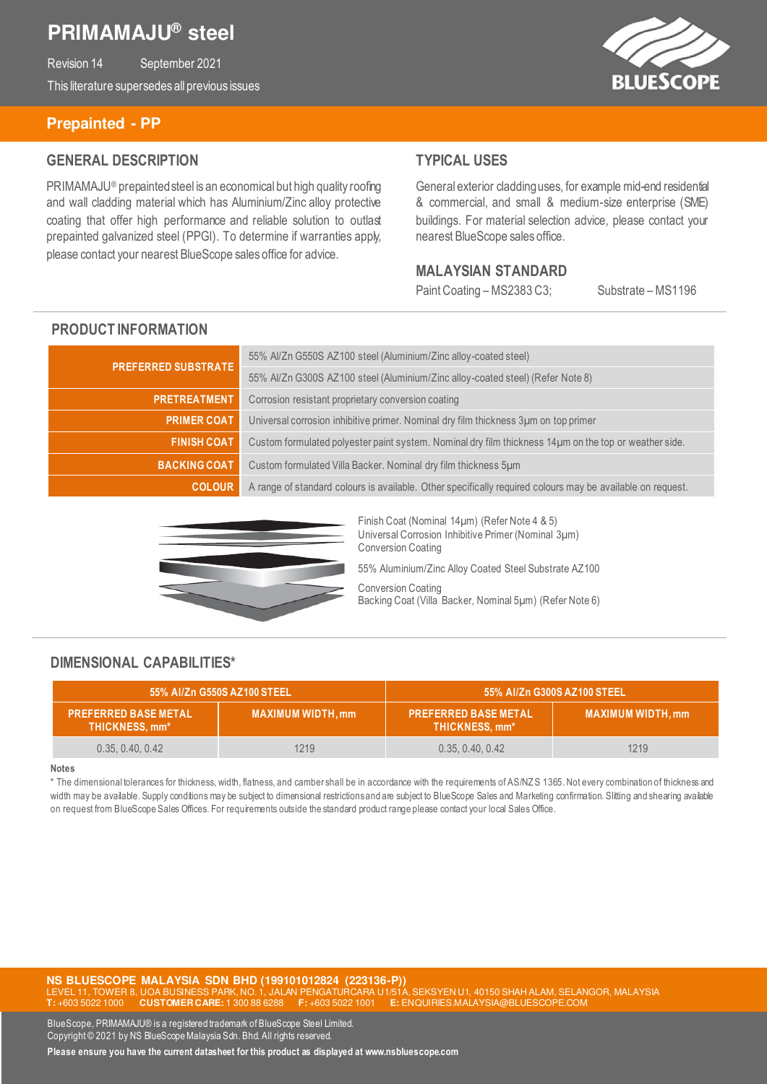# **PRIMAMAJU® steel**

Revision 14 September 2021 This literature supersedes all previous issues



#### **Prepainted - PP**

### **GENERAL DESCRIPTION**

PRIMAMAJU® prepainted steel is an economical but high quality roofing and wall cladding material which has Aluminium/Zinc alloy protective coating that offer high performance and reliable solution to outlast prepainted galvanized steel (PPGI). To determine if warranties apply, please contact your nearest BlueScope sales office for advice.

### **TYPICAL USES**

General exterior cladding uses, for example mid-end residential & commercial, and small & medium-size enterprise (SME) buildings. For material selection advice, please contact your nearest BlueScope sales office.

#### **MALAYSIAN STANDARD**

Paint Coating – MS2383 C3; Substrate – MS1196

### **PRODUCT INFORMATION**

| <b>PREFERRED SUBSTRATE</b> | 55% Al/Zn G550S AZ100 steel (Aluminium/Zinc alloy-coated steel)                                            |  |
|----------------------------|------------------------------------------------------------------------------------------------------------|--|
|                            | 55% Al/Zn G300S AZ100 steel (Aluminium/Zinc alloy-coated steel) (Refer Note 8)                             |  |
| <b>PRETREATMENT</b>        | Corrosion resistant proprietary conversion coating                                                         |  |
| <b>PRIMER COAT</b>         | Universal corrosion inhibitive primer. Nominal dry film thickness 3um on top primer                        |  |
| <b>FINISH COAT</b>         | Custom formulated polyester paint system. Nominal dry film thickness 14µm on the top or weather side.      |  |
| <b>BACKING COAT</b>        | Custom formulated Villa Backer. Nominal dry film thickness 5um                                             |  |
| <b>COLOUR</b>              | A range of standard colours is available. Other specifically required colours may be available on request. |  |



Finish Coat (Nominal 14µm) (Refer Note 4 & 5) Universal Corrosion Inhibitive Primer (Nominal 3µm) Conversion Coating 55% Aluminium/Zinc Alloy Coated Steel Substrate AZ100 Conversion Coating Backing Coat (Villa Backer, Nominal 5µm) (Refer Note 6)

### **DIMENSIONAL CAPABILITIES\***

| 55% Al/Zn G550S AZ100 STEEL                   |                          | 55% Al/Zn G300S AZ100 STEEL                   |                          |
|-----------------------------------------------|--------------------------|-----------------------------------------------|--------------------------|
| <b>PREFERRED BASE METAL</b><br>THICKNESS, mm* | <b>MAXIMUM WIDTH, mm</b> | <b>PREFERRED BASE METAL</b><br>THICKNESS, mm* | <b>MAXIMUM WIDTH, mm</b> |
| 0.35, 0.40, 0.42                              | 1219                     | 0.35, 0.40, 0.42                              | 1219                     |

#### **Notes**

\* The dimensional tolerances for thickness, width, flatness, and camber shall be in accordance with the requirements of AS/NZ S 1365. Not every combination of thickness and width may be available. Supply conditions may be subject to dimensional restrictions and are subject to BlueScope Sales and Marketing confirmation. Slitting and shearing available on request from BlueScope Sales Offices. For requirements outside the standard product range please contact your local Sales Office.

**NS BLUESCOPE MALAYSIA SDN BHD (199101012824 (223136-P))**  , UOA BUSINESS PARK, NO. 1, JALAN PENGATURCARA U1/51A, SEKSYEN U1, 40150 SHAH ALAM, SELANGOR, MALAYSIA<br>CUSTOMER CARE: 1 300 88 6288 F: +603 5022 1001 E: ENQUIRIES.MALAYSIA@BLU<u>ESCOPE.COM</u> **T:** +603 5022 1000 **CUSTOMER CARE:** 1 300 88 6288 **F:** +603 5022 1001 **E:** ENQUIRIES.MALAYSIA@BLUESCOPE.COM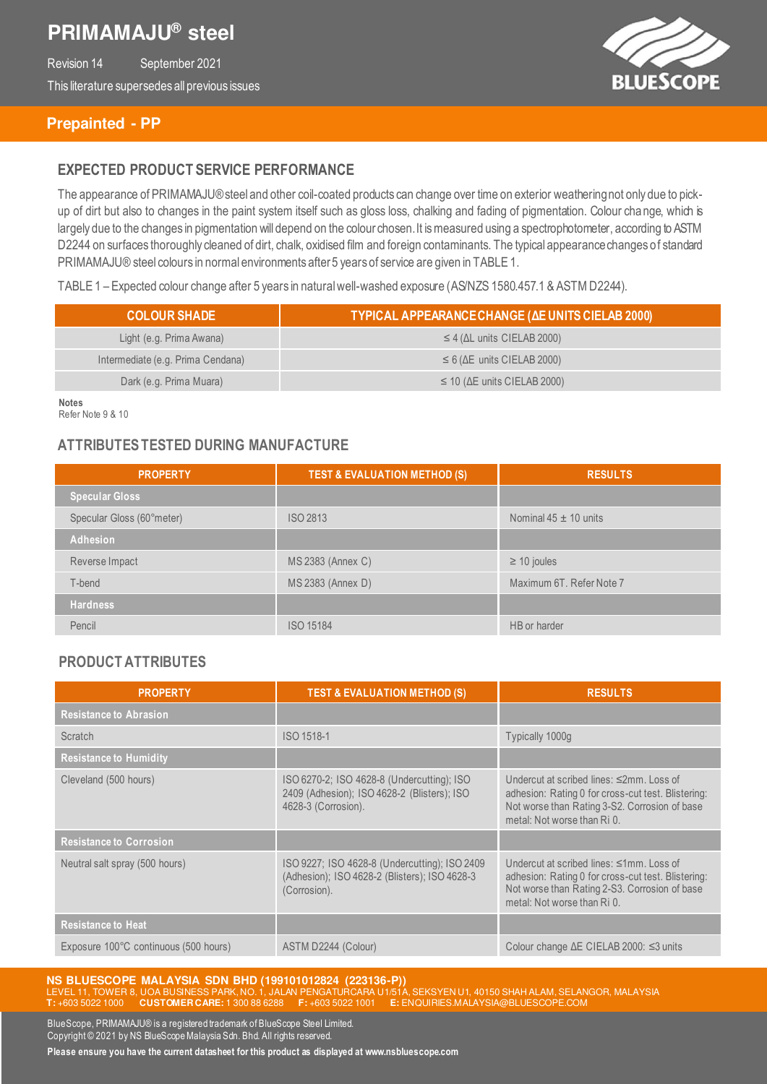# **PRIMAMAJU® steel**

Revision 14 September 2021 This literature supersedes all previous issues



### **Prepainted - PP**

### **EXPECTED PRODUCT SERVICE PERFORMANCE**

The appearance of PRIMAMAJU® steel and other coil-coated products can change over time on exterior weathering not only due to pickup of dirt but also to changes in the paint system itself such as gloss loss, chalking and fading of pigmentation. Colour change, which is largely due to the changes in pigmentation will depend on the colour chosen. It is measured using a spectrophotometer, according to ASTM D2244 on surfaces thoroughly cleaned of dirt, chalk, oxidised film and foreign contaminants. The typical appearance changes of standard PRIMAMAJU® steel colours in normal environments after 5 years of service are given in TABLE 1.

TABLE 1 – Expected colour change after 5 years in natural well-washed exposure (AS/NZS 1580.457.1 & ASTM D2244).

| <b>COLOUR SHADE</b>               | TYPICAL APPEARANCE CHANGE (AE UNITS CIELAB 2000) |  |
|-----------------------------------|--------------------------------------------------|--|
| Light (e.g. Prima Awana)          | $\leq$ 4 ( $\Delta$ L units CIELAB 2000)         |  |
| Intermediate (e.g. Prima Cendana) | $\leq 6$ ( $\Delta E$ units CIELAB 2000)         |  |
| Dark (e.g. Prima Muara)           | $\leq$ 10 ( $\Delta$ E units CIELAB 2000)        |  |

**Notes** Refer Note 9 & 10

### **ATTRIBUTES TESTED DURING MANUFACTURE**

| <b>PROPERTY</b>           | <b>TEST &amp; EVALUATION METHOD (S)</b> | <b>RESULTS</b>            |
|---------------------------|-----------------------------------------|---------------------------|
| <b>Specular Gloss</b>     |                                         |                           |
| Specular Gloss (60°meter) | <b>ISO 2813</b>                         | Nominal $45 \pm 10$ units |
| <b>Adhesion</b>           |                                         |                           |
| Reverse Impact            | MS 2383 (Annex C)                       | $\geq$ 10 joules          |
| T-bend                    | MS 2383 (Annex D)                       | Maximum 6T. Refer Note 7  |
| <b>Hardness</b>           |                                         |                           |
| Pencil                    | <b>ISO 15184</b>                        | HB or harder              |

### **PRODUCT ATTRIBUTES**

| <b>PROPERTY</b>                       | <b>TEST &amp; EVALUATION METHOD (S)</b>                                                                          | <b>RESULTS</b>                                                                                                                                                                 |
|---------------------------------------|------------------------------------------------------------------------------------------------------------------|--------------------------------------------------------------------------------------------------------------------------------------------------------------------------------|
| <b>Resistance to Abrasion</b>         |                                                                                                                  |                                                                                                                                                                                |
| Scratch                               | ISO 1518-1                                                                                                       | Typically 1000g                                                                                                                                                                |
| <b>Resistance to Humidity</b>         |                                                                                                                  |                                                                                                                                                                                |
| Cleveland (500 hours)                 | ISO 6270-2; ISO 4628-8 (Undercutting); ISO<br>2409 (Adhesion); ISO 4628-2 (Blisters); ISO<br>4628-3 (Corrosion). | Undercut at scribed lines: ≤2mm, Loss of<br>adhesion: Rating 0 for cross-cut test. Blistering:<br>Not worse than Rating 3-S2. Corrosion of base<br>metal: Not worse than Ri 0. |
| <b>Resistance to Corrosion</b>        |                                                                                                                  |                                                                                                                                                                                |
| Neutral salt spray (500 hours)        | ISO 9227; ISO 4628-8 (Undercutting); ISO 2409<br>(Adhesion); ISO 4628-2 (Blisters); ISO 4628-3<br>(Corrosion).   | Undercut at scribed lines: ≤1mm, Loss of<br>adhesion: Rating 0 for cross-cut test. Blistering:<br>Not worse than Rating 2-S3. Corrosion of base<br>metal: Not worse than Ri 0. |
| <b>Resistance to Heat</b>             |                                                                                                                  |                                                                                                                                                                                |
| Exposure 100°C continuous (500 hours) | ASTM D2244 (Colour)                                                                                              | Colour change $\Delta E$ CIELAB 2000: $\leq$ 3 units                                                                                                                           |

**NS BLUESCOPE MALAYSIA SDN BHD (199101012824 (223136-P))**  LEVEL 11, TOWER 8, UOA BUSINESS PARK, NO. 1, JALAN PENGATURCARA U1/51A, SEKSYEN U1, 40150 SHAH ALAM, SELANGOR, MALAYSIA **T:** +603 5022 1000 **CUSTOMER CARE:** 1 300 88 6288 **F:** +603 5022 1001 **E:** ENQUIRIES.MALAYSIA@BLUESCOPE.COM

BlueScope, PRIMAMAJU® is a registered trademark of BlueScope Steel Limited. Copyright © 2021 by NS BlueScope Malaysia Sdn. Bhd. All rights reserved. **Please ensure you have the current datasheet for this product as displayed at www.nsbluescope.com**